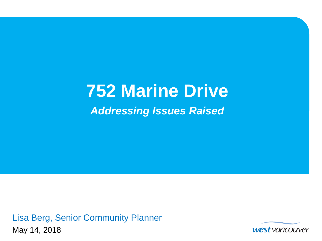# **752 Marine Drive** *Addressing Issues Raised*

Lisa Berg, Senior Community Planner May 14, 2018

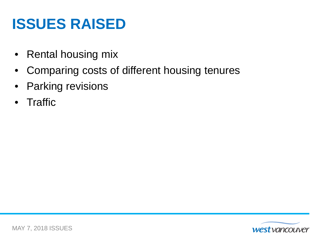## **ISSUES RAISED**

- Rental housing mix
- Comparing costs of different housing tenures
- Parking revisions
- Traffic

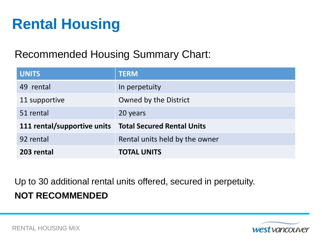## **Rental Housing**

#### Recommended Housing Summary Chart:

| <b>UNITS</b>                | <b>TERM</b>                       |  |
|-----------------------------|-----------------------------------|--|
| 49 rental                   | In perpetuity                     |  |
| 11 supportive               | Owned by the District             |  |
| 51 rental                   | 20 years                          |  |
| 111 rental/supportive units | <b>Total Secured Rental Units</b> |  |
| 92 rental                   | Rental units held by the owner    |  |
| 203 rental                  | <b>TOTAL UNITS</b>                |  |

Up to 30 additional rental units offered, secured in perpetuity. **NOT RECOMMENDED**

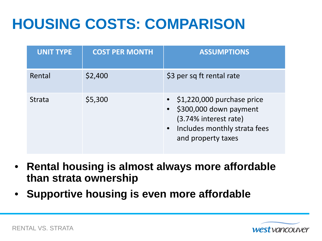# **HOUSING COSTS: COMPARISON**

| <b>UNIT TYPE</b> | <b>COST PER MONTH</b> | <b>ASSUMPTIONS</b>                                                                                                                                |
|------------------|-----------------------|---------------------------------------------------------------------------------------------------------------------------------------------------|
| Rental           | \$2,400               | \$3 per sq ft rental rate                                                                                                                         |
| <b>Strata</b>    | \$5,300               | $\bullet$ \$1,220,000 purchase price<br>• \$300,000 down payment<br>(3.74% interest rate)<br>• Includes monthly strata fees<br>and property taxes |

- **Rental housing is almost always more affordable than strata ownership**
- **Supportive housing is even more affordable**

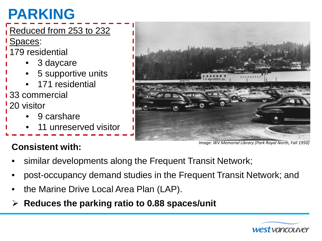# **PARKING**

#### Reduced from 253 to 232

Spaces:

- 179 residential
	- 3 daycare
	- 5 supportive units
	- 171 residential

33 commercial 20 visitor

- 9 carshare
- 11 unreserved visitor

*Image: WV Memorial Library (Park Royal North, Fall 1950)*

### **Consistent with:**

- similar developments along the Frequent Transit Network;
- post-occupancy demand studies in the Frequent Transit Network; and
- the Marine Drive Local Area Plan (LAP).
- **Reduces the parking ratio to 0.88 spaces/unit**

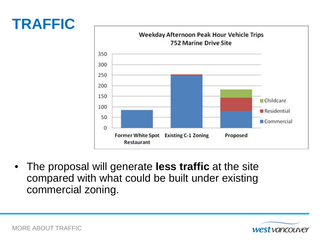## **TRAFFIC**



• The proposal will generate **less traffic** at the site compared with what could be built under existing commercial zoning.